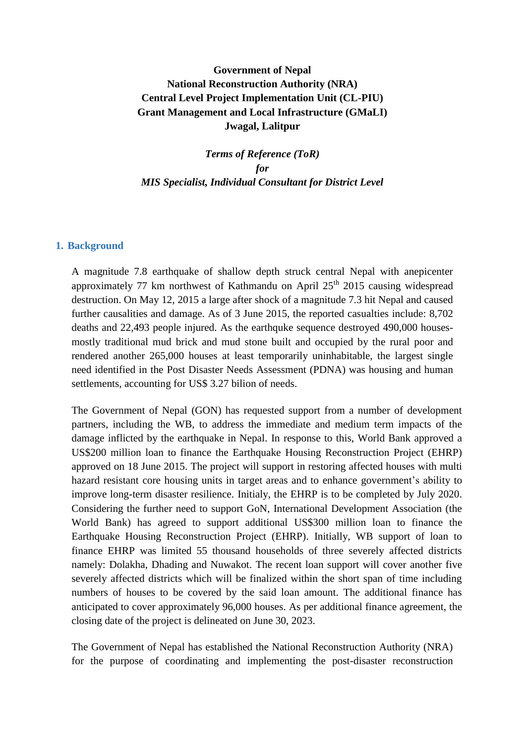# **Government of Nepal National Reconstruction Authority (NRA) Central Level Project Implementation Unit (CL-PIU) Grant Management and Local Infrastructure (GMaLI) Jwagal, Lalitpur**

*Terms of Reference (ToR) for MIS Specialist, Individual Consultant for District Level*

#### **1. Background**

A magnitude 7.8 earthquake of shallow depth struck central Nepal with anepicenter approximately 77 km northwest of Kathmandu on April  $25<sup>th</sup>$  2015 causing widespread destruction. On May 12, 2015 a large after shock of a magnitude 7.3 hit Nepal and caused further causalities and damage. As of 3 June 2015, the reported casualties include: 8,702 deaths and 22,493 people injured. As the earthquke sequence destroyed 490,000 housesmostly traditional mud brick and mud stone built and occupied by the rural poor and rendered another 265,000 houses at least temporarily uninhabitable, the largest single need identified in the Post Disaster Needs Assessment (PDNA) was housing and human settlements, accounting for US\$ 3.27 bilion of needs.

The Government of Nepal (GON) has requested support from a number of development partners, including the WB, to address the immediate and medium term impacts of the damage inflicted by the earthquake in Nepal. In response to this, World Bank approved a US\$200 million loan to finance the Earthquake Housing Reconstruction Project (EHRP) approved on 18 June 2015. The project will support in restoring affected houses with multi hazard resistant core housing units in target areas and to enhance government's ability to improve long-term disaster resilience. Initialy, the EHRP is to be completed by July 2020. Considering the further need to support GoN, International Development Association (the World Bank) has agreed to support additional US\$300 million loan to finance the Earthquake Housing Reconstruction Project (EHRP). Initially, WB support of loan to finance EHRP was limited 55 thousand households of three severely affected districts namely: Dolakha, Dhading and Nuwakot. The recent loan support will cover another five severely affected districts which will be finalized within the short span of time including numbers of houses to be covered by the said loan amount. The additional finance has anticipated to cover approximately 96,000 houses. As per additional finance agreement, the closing date of the project is delineated on June 30, 2023.

The Government of Nepal has established the National Reconstruction Authority (NRA) for the purpose of coordinating and implementing the post-disaster reconstruction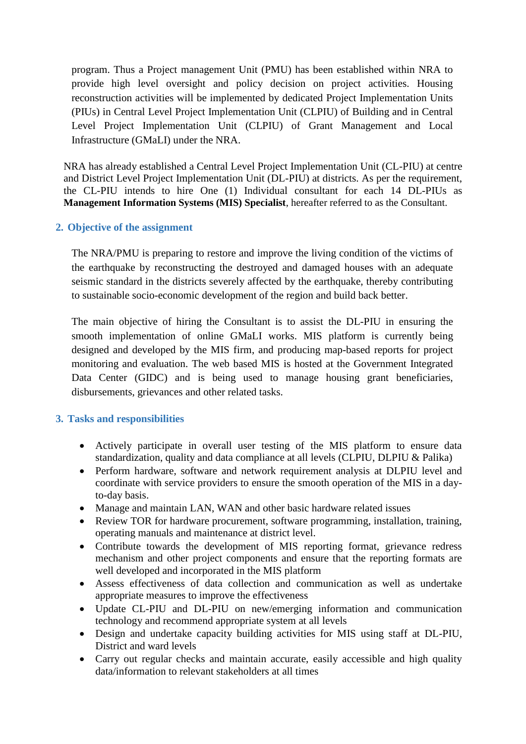program. Thus a Project management Unit (PMU) has been established within NRA to provide high level oversight and policy decision on project activities. Housing reconstruction activities will be implemented by dedicated Project Implementation Units (PIUs) in Central Level Project Implementation Unit (CLPIU) of Building and in Central Level Project Implementation Unit (CLPIU) of Grant Management and Local Infrastructure (GMaLI) under the NRA.

NRA has already established a Central Level Project Implementation Unit (CL-PIU) at centre and District Level Project Implementation Unit (DL-PIU) at districts. As per the requirement, the CL-PIU intends to hire One (1) Individual consultant for each 14 DL-PIUs as **Management Information Systems (MIS) Specialist**, hereafter referred to as the Consultant.

## **2. Objective of the assignment**

The NRA/PMU is preparing to restore and improve the living condition of the victims of the earthquake by reconstructing the destroyed and damaged houses with an adequate seismic standard in the districts severely affected by the earthquake, thereby contributing to sustainable socio-economic development of the region and build back better.

The main objective of hiring the Consultant is to assist the DL-PIU in ensuring the smooth implementation of online GMaLI works. MIS platform is currently being designed and developed by the MIS firm, and producing map-based reports for project monitoring and evaluation. The web based MIS is hosted at the Government Integrated Data Center (GIDC) and is being used to manage housing grant beneficiaries, disbursements, grievances and other related tasks.

## **3. Tasks and responsibilities**

- Actively participate in overall user testing of the MIS platform to ensure data standardization, quality and data compliance at all levels (CLPIU, DLPIU & Palika)
- Perform hardware, software and network requirement analysis at DLPIU level and coordinate with service providers to ensure the smooth operation of the MIS in a dayto-day basis.
- Manage and maintain LAN, WAN and other basic hardware related issues
- Review TOR for hardware procurement, software programming, installation, training, operating manuals and maintenance at district level.
- Contribute towards the development of MIS reporting format, grievance redress mechanism and other project components and ensure that the reporting formats are well developed and incorporated in the MIS platform
- Assess effectiveness of data collection and communication as well as undertake appropriate measures to improve the effectiveness
- Update CL-PIU and DL-PIU on new/emerging information and communication technology and recommend appropriate system at all levels
- Design and undertake capacity building activities for MIS using staff at DL-PIU, District and ward levels
- Carry out regular checks and maintain accurate, easily accessible and high quality data/information to relevant stakeholders at all times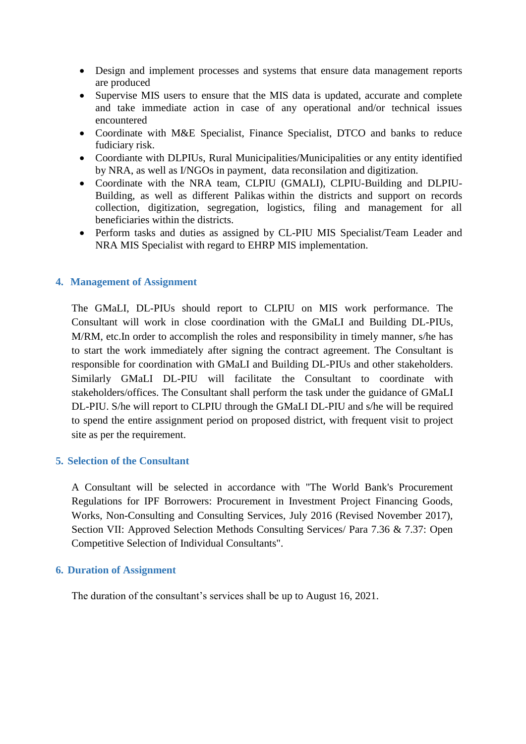- Design and implement processes and systems that ensure data management reports are produced
- Supervise MIS users to ensure that the MIS data is updated, accurate and complete and take immediate action in case of any operational and/or technical issues encountered
- Coordinate with M&E Specialist, Finance Specialist, DTCO and banks to reduce fudiciary risk.
- Coordiante with DLPIUs, Rural Municipalities/Municipalities or any entity identified by NRA, as well as I/NGOs in payment, data reconsilation and digitization.
- Coordinate with the NRA team, CLPIU (GMALI), CLPIU-Building and DLPIU-Building, as well as different Palikas within the districts and support on records collection, digitization, segregation, logistics, filing and management for all beneficiaries within the districts.
- Perform tasks and duties as assigned by CL-PIU MIS Specialist/Team Leader and NRA MIS Specialist with regard to EHRP MIS implementation.

## **4. Management of Assignment**

The GMaLI, DL-PIUs should report to CLPIU on MIS work performance. The Consultant will work in close coordination with the GMaLI and Building DL-PIUs, M/RM, etc. In order to accomplish the roles and responsibility in timely manner, s/he has to start the work immediately after signing the contract agreement. The Consultant is responsible for coordination with GMaLI and Building DL-PIUs and other stakeholders. Similarly GMaLI DL-PIU will facilitate the Consultant to coordinate with stakeholders/offices. The Consultant shall perform the task under the guidance of GMaLI DL-PIU. S/he will report to CLPIU through the GMaLI DL-PIU and s/he will be required to spend the entire assignment period on proposed district, with frequent visit to project site as per the requirement.

## **5. Selection of the Consultant**

A Consultant will be selected in accordance with "The World Bank's Procurement Regulations for IPF Borrowers: Procurement in Investment Project Financing Goods, Works, Non-Consulting and Consulting Services, July 2016 (Revised November 2017), Section VII: Approved Selection Methods Consulting Services/ Para 7.36 & 7.37: Open Competitive Selection of Individual Consultants".

#### **6. Duration of Assignment**

The duration of the consultant's services shall be up to August 16, 2021.